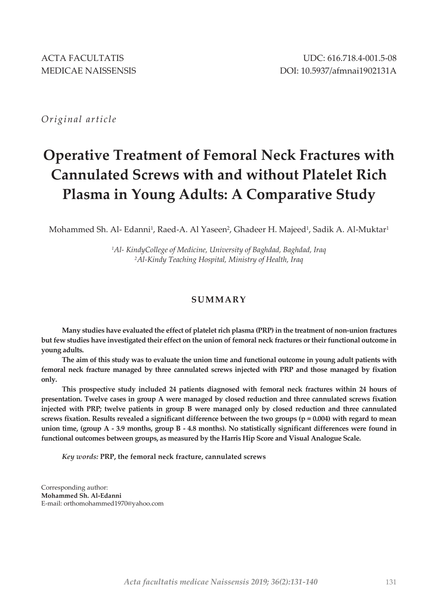*Original article*

# **Operative Treatment of Femoral Neck Fractures with Cannulated Screws with and without Platelet Rich Plasma in Young Adults: A Comparative Study**

Mohammed Sh. Al- Edanni<sup>1</sup>, Raed-A. Al Yaseen<sup>2</sup>, Ghadeer H. Majeed<sup>1</sup>, Sadik A. Al-Muktar<sup>1</sup>

*<sup>1</sup>Al- KindyCollege of Medicine, University of Baghdad, Baghdad, Iraq <sup>2</sup>Al-Kindy Teaching Hospital, Ministry of Health, Iraq*

# **SUMMARY**

**Many studies have evaluated the effect of platelet rich plasma (PRP) in the treatment of non-union fractures but few studies have investigated their effect on the union of femoral neck fractures or their functional outcome in young adults.** 

**The aim of this study was to evaluate the union time and functional outcome in young adult patients with femoral neck fracture managed by three cannulated screws injected with PRP and those managed by fixation only.**

**This prospective study included 24 patients diagnosed with femoral neck fractures within 24 hours of presentation. Twelve cases in group A were managed by closed reduction and three cannulated screws fixation injected with PRP; twelve patients in group B were managed only by closed reduction and three cannulated screws fixation. Results revealed a significant difference between the two groups (p = 0.004) with regard to mean union time, (group A - 3.9 months, group B - 4.8 months). No statistically significant differences were found in functional outcomes between groups, as measured by the Harris Hip Score and Visual Analogue Scale.**

*Key words:* **PRP, the femoral neck fracture, cannulated screws**

Corresponding author: **Mohammed Sh. Al-Edanni** E-mail: orthomohammed1970@yahoo.com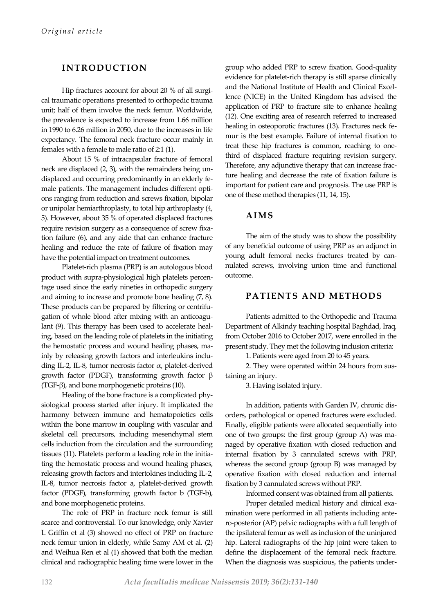# **INTRODUCTION**

Hip fractures account for about 20 % of all surgical traumatic operations presented to orthopedic trauma unit; half of them involve the neck femur. Worldwide, the prevalence is expected to increase from 1.66 million in 1990 to 6.26 million in 2050, due to the increases in life expectancy. The femoral neck fracture occur mainly in females with a female to male ratio of 2:1 (1).

About 15 % of intracapsular fracture of femoral neck are displaced (2, 3), with the remainders being undisplaced and occurring predominantly in an elderly female patients. The management includes different options ranging from reduction and screws fixation, bipolar or unipolar hemiarthroplasty, to total hip arthroplasty (4, 5). However, about 35 % of operated displaced fractures require revision surgery as a consequence of screw fixation failure (6), and any aide that can enhance fracture healing and reduce the rate of failure of fixation may have the potential impact on treatment outcomes.

Platelet-rich plasma (PRP) is an autologous blood product with supra-physiological high platelets percentage used since the early nineties in orthopedic surgery and aiming to increase and promote bone healing (7, 8). These products can be prepared by filtering or centrifugation of whole blood after mixing with an anticoagulant (9). This therapy has been used to accelerate healing, based on the leading role of platelets in the initiating the hemostatic process and wound healing phases, mainly by releasing growth factors and interleukins including IL-2, IL-8, tumor necrosis factor  $\alpha$ , platelet-derived growth factor (PDGF), transforming growth factor β (TGF-β), and bone morphogenetic proteins (10).

Healing of the bone fracture is a complicated physiological process started after injury. It implicated the harmony between immune and hematopoietics cells within the bone marrow in coupling with vascular and skeletal cell precursors, including mesenchymal stem cells induction from the circulation and the surrounding tissues (11). Platelets perform a leading role in the initiating the hemostatic process and wound healing phases, releasing growth factors and intertokines including IL-2, IL-8, tumor necrosis factor a, platelet-derived growth factor (PDGF), transforming growth factor b (TGF-b), and bone morphogenetic proteins.

The role of PRP in fracture neck femur is still scarce and controversial. To our knowledge, only Xavier L Griffin et al (3) showed no effect of PRP on fracture neck femur union in elderly, while Samy AM et al. (2) and Weihua Ren et al (1) showed that both the median clinical and radiographic healing time were lower in the

group who added PRP to screw fixation. Good-quality evidence for platelet-rich therapy is still sparse clinically and the National Institute of Health and Clinical Excellence (NICE) in the United Kingdom has advised the application of PRP to fracture site to enhance healing (12). One exciting area of research referred to increased healing in osteoporotic fractures (13). Fractures neck femur is the best example. Failure of internal fixation to treat these hip fractures is common, reaching to onethird of displaced fracture requiring revision surgery. Therefore, any adjunctive therapy that can increase fracture healing and decrease the rate of fixation failure is important for patient care and prognosis. The use PRP is one of these method therapies (11, 14, 15).

#### **AIMS**

The aim of the study was to show the possibility of any beneficial outcome of using PRP as an adjunct in young adult femoral necks fractures treated by cannulated screws, involving union time and functional outcome.

## **PATIENTS AND METHODS**

Patients admitted to the Orthopedic and Trauma Department of Alkindy teaching hospital Baghdad, Iraq, from October 2016 to October 2017, were enrolled in the present study. They met the following inclusion criteria:

1. Patients were aged from 20 to 45 years.

2. They were operated within 24 hours from sustaining an injury.

3. Having isolated injury.

In addition, patients with Garden IV, chronic disorders, pathological or opened fractures were excluded. Finally, eligible patients were allocated sequentially into one of two groups: the first group (group A) was managed by operative fixation with closed reduction and internal fixation by 3 cannulated screws with PRP, whereas the second group (group B) was managed by operative fixation with closed reduction and internal fixation by 3 cannulated screws without PRP.

Informed consent was obtained from all patients.

Proper detailed medical history and clinical examination were performed in all patients including antero-posterior (AP) pelvic radiographs with a full length of the ipsilateral femur as well as inclusion of the uninjured hip. Lateral radiographs of the hip joint were taken to define the displacement of the femoral neck fracture. When the diagnosis was suspicious, the patients under-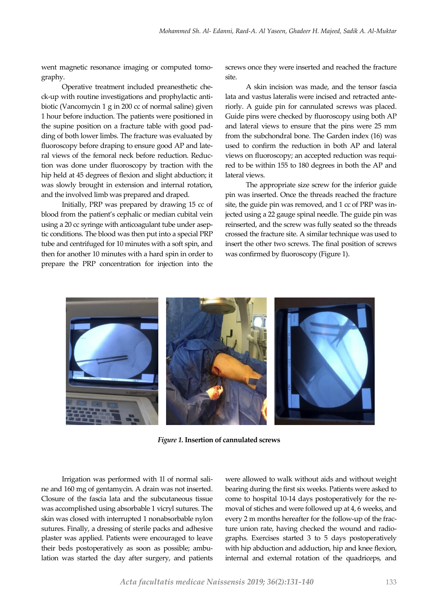went magnetic resonance imaging or computed tomography.

Operative treatment included preanesthetic check-up with routine investigations and prophylactic antibiotic (Vancomycin 1 g in 200 cc of normal saline) given 1 hour before induction. The patients were positioned in the supine position on a fracture table with good padding of both lower limbs. The fracture was evaluated by fluoroscopy before draping to ensure good AP and lateral views of the femoral neck before reduction. Reduction was done under fluoroscopy by traction with the hip held at 45 degrees of flexion and slight abduction; it was slowly brought in extension and internal rotation, and the involved limb was prepared and draped.

Initially, PRP was prepared by drawing 15 cc of blood from the patient's cephalic or median cubital vein using a 20 cc syringe with anticoagulant tube under aseptic conditions. The blood was then put into a special PRP tube and centrifuged for 10 minutes with a soft spin, and then for another 10 minutes with a hard spin in order to prepare the PRP concentration for injection into the

screws once they were inserted and reached the fracture site.

A skin incision was made, and the tensor fascia lata and vastus lateralis were incised and retracted anteriorly. A guide pin for cannulated screws was placed. Guide pins were checked by fluoroscopy using both AP and lateral views to ensure that the pins were 25 mm from the subchondral bone. The Garden index (16) was used to confirm the reduction in both AP and lateral views on fluoroscopy; an accepted reduction was required to be within 155 to 180 degrees in both the AP and lateral views.

The appropriate size screw for the inferior guide pin was inserted. Once the threads reached the fracture site, the guide pin was removed, and 1 cc of PRP was injected using a 22 gauge spinal needle. The guide pin was reinserted, and the screw was fully seated so the threads crossed the fracture site. A similar technique was used to insert the other two screws. The final position of screws was confirmed by fluoroscopy (Figure 1).



*Figure 1.* **Insertion of cannulated screws**

Irrigation was performed with 1l of normal saline and 160 mg of gentamycin. A drain was not inserted. Closure of the fascia lata and the subcutaneous tissue was accomplished using absorbable 1 vicryl sutures. The skin was closed with interrupted 1 nonabsorbable nylon sutures. Finally, a dressing of sterile packs and adhesive plaster was applied. Patients were encouraged to leave their beds postoperatively as soon as possible; ambulation was started the day after surgery, and patients were allowed to walk without aids and without weight bearing during the first six weeks. Patients were asked to come to hospital 10-14 days postoperatively for the removal of stiches and were followed up at 4, 6 weeks, and every 2 m months hereafter for the follow-up of the fracture union rate, having checked the wound and radiographs. Exercises started 3 to 5 days postoperatively with hip abduction and adduction, hip and knee flexion, internal and external rotation of the quadriceps, and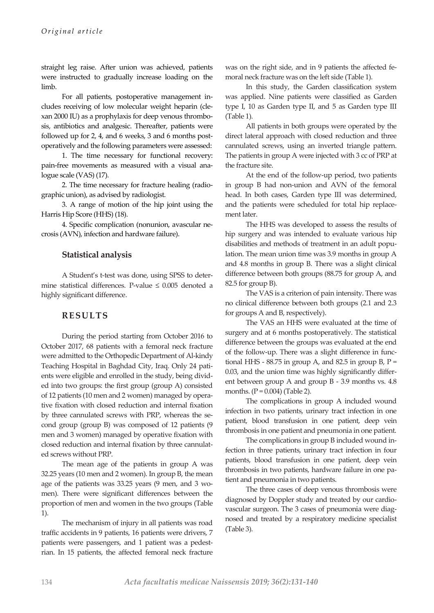straight leg raise. After union was achieved, patients were instructed to gradually increase loading on the limb.

For all patients, postoperative management includes receiving of low molecular weight heparin (clexan 2000 IU) as a prophylaxis for deep venous thrombosis, antibiotics and analgesic. Thereafter, patients were followed up for 2, 4, and 6 weeks, 3 and 6 months postoperatively and the following parameters were assessed:

1. The time necessary for functional recovery: pain-free movements as measured with a visual analogue scale (VAS) (17).

2. The time necessary for fracture healing (radiographic union), as advised by radiologist.

3. A range of motion of the hip joint using the Harris Hip Score (HHS) (18).

4. Specific complication (nonunion, avascular necrosis (AVN), infection and hardware failure).

## **Statistical analysis**

A Student's t-test was done, using SPSS to determine statistical differences. P-value  $\leq 0.005$  denoted a highly significant difference.

#### **RESULTS**

During the period starting from October 2016 to October 2017, 68 patients with a femoral neck fracture were admitted to the Orthopedic Department of Al-kindy Teaching Hospital in Baghdad City, Iraq. Only 24 patients were eligible and enrolled in the study, being divided into two groups: the first group (group A) consisted of 12 patients (10 men and 2 women) managed by operative fixation with closed reduction and internal fixation by three cannulated screws with PRP, whereas the second group (group B) was composed of 12 patients (9 men and 3 women) managed by operative fixation with closed reduction and internal fixation by three cannulated screws without PRP.

The mean age of the patients in group A was 32.25 years (10 men and 2 women). In group B, the mean age of the patients was 33.25 years (9 men, and 3 women). There were significant differences between the proportion of men and women in the two groups (Table 1).

The mechanism of injury in all patients was road traffic accidents in 9 patients, 16 patients were drivers, 7 patients were passengers, and 1 patient was a pedestrian. In 15 patients, the affected femoral neck fracture was on the right side, and in 9 patients the affected femoral neck fracture was on the left side (Table 1).

In this study, the Garden classification system was applied. Nine patients were classified as Garden type I, 10 as Garden type II, and 5 as Garden type III (Table 1).

All patients in both groups were operated by the direct lateral approach with closed reduction and three cannulated screws, using an inverted triangle pattern. The patients in group A were injected with 3 cc of PRP at the fracture site.

At the end of the follow-up period, two patients in group B had non-union and AVN of the femoral head. In both cases, Garden type III was determined, and the patients were scheduled for total hip replacement later.

The HHS was developed to assess the results of hip surgery and was intended to evaluate various hip disabilities and methods of treatment in an adult population. The mean union time was 3.9 months in group A and 4.8 months in group B. There was a slight clinical difference between both groups (88.75 for group A, and 82.5 for group B).

The VAS is a criterion of pain intensity. There was no clinical difference between both groups (2.1 and 2.3 for groups A and B, respectively).

The VAS an HHS were evaluated at the time of surgery and at 6 months postoperatively. The statistical difference between the groups was evaluated at the end of the follow-up. There was a slight difference in functional HHS -  $88.75$  in group A, and  $82.5$  in group B, P = 0.03, and the union time was highly significantly different between group A and group B - 3.9 months vs. 4.8 months.  $(P = 0.004)$  (Table 2).

The complications in group A included wound infection in two patients, urinary tract infection in one patient, blood transfusion in one patient, deep vein thrombosis in one patient and pneumonia in one patient.

The complications in group B included wound infection in three patients, urinary tract infection in four patients, blood transfusion in one patient, deep vein thrombosis in two patients, hardware failure in one patient and pneumonia in two patients.

The three cases of deep venous thrombosis were diagnosed by Doppler study and treated by our cardiovascular surgeon. The 3 cases of pneumonia were diagnosed and treated by a respiratory medicine specialist (Table 3).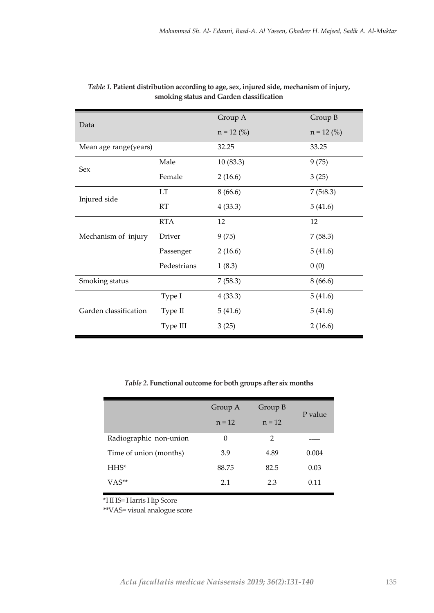| Data                  |             | Group A      | Group B      |
|-----------------------|-------------|--------------|--------------|
|                       |             | $n = 12$ (%) | $n = 12$ (%) |
| Mean age range(years) |             | 32.25        | 33.25        |
| Sex                   | Male        | 10(83.3)     | 9(75)        |
|                       | Female      | 2(16.6)      | 3(25)        |
| Injured side          | LT          | 8(66.6)      | 7(5t8.3)     |
|                       | RT          | 4(33.3)      | 5(41.6)      |
| Mechanism of injury   | <b>RTA</b>  | 12           | 12           |
|                       | Driver      | 9(75)        | 7(58.3)      |
|                       | Passenger   | 2(16.6)      | 5(41.6)      |
|                       | Pedestrians | 1(8.3)       | 0(0)         |
| Smoking status        |             | 7(58.3)      | 8(66.6)      |
| Garden classification | Type I      | 4(33.3)      | 5(41.6)      |
|                       | Type II     | 5(41.6)      | 5(41.6)      |
|                       | Type III    | 3(25)        | 2(16.6)      |

| Table 1. Patient distribution according to age, sex, injured side, mechanism of injury, |
|-----------------------------------------------------------------------------------------|
| smoking status and Garden classification                                                |

*Table 2.* **Functional outcome for both groups after six months**

|                        | Group A  | Group B  | P value |  |
|------------------------|----------|----------|---------|--|
|                        | $n = 12$ | $n = 12$ |         |  |
| Radiographic non-union | 0        | 2        |         |  |
| Time of union (months) | 3.9      | 4.89     | 0.004   |  |
| $HHS^*$                | 88.75    | 82.5     | 0.03    |  |
| VAS**                  | 2.1      | 2.3      | 0.11    |  |

\*HHS= Harris Hip Score

\*\*VAS= visual analogue score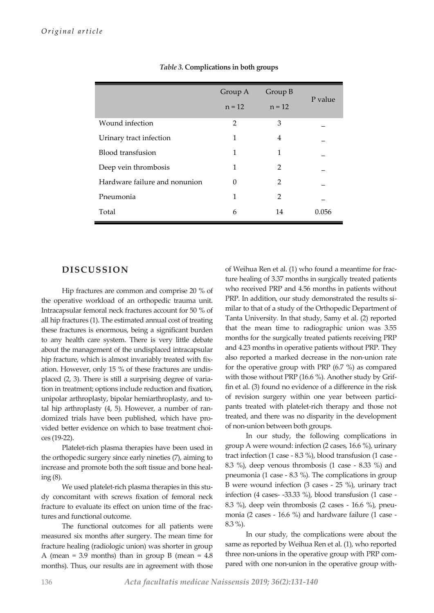|                               | Group A        | Group B       | P value |  |
|-------------------------------|----------------|---------------|---------|--|
|                               | $n = 12$       | $n = 12$      |         |  |
| Wound infection               | $\mathfrak{D}$ | 3             |         |  |
| Urinary tract infection       | 1              | 4             |         |  |
| Blood transfusion             | 1              | 1             |         |  |
| Deep vein thrombosis          | 1              | $\mathcal{P}$ |         |  |
| Hardware failure and nonunion | 0              | $\mathcal{P}$ |         |  |
| Pneumonia                     | 1              | $\mathcal{P}$ |         |  |
| Total                         | 6              | 14            | 0.056   |  |

*Table 3.* **Complications in both groups**

## **DISCUSSION**

Hip fractures are common and comprise 20 % of the operative workload of an orthopedic trauma unit. Intracapsular femoral neck fractures account for 50 % of all hip fractures (1). The estimated annual cost of treating these fractures is enormous, being a significant burden to any health care system. There is very little debate about the management of the undisplaced intracapsular hip fracture, which is almost invariably treated with fixation. However, only 15 % of these fractures are undisplaced (2, 3). There is still a surprising degree of variation in treatment; options include reduction and fixation, unipolar arthroplasty, bipolar hemiarthroplasty, and total hip arthroplasty (4, 5). However, a number of randomized trials have been published, which have provided better evidence on which to base treatment choices (19-22).

Platelet-rich plasma therapies have been used in the orthopedic surgery since early nineties (7), aiming to increase and promote both the soft tissue and bone healing (8).

We used platelet-rich plasma therapies in this study concomitant with screws fixation of femoral neck fracture to evaluate its effect on union time of the fractures and functional outcome.

The functional outcomes for all patients were measured six months after surgery. The mean time for fracture healing (radiologic union) was shorter in group A (mean = 3.9 months) than in group B (mean =  $4.8$ ) months). Thus, our results are in agreement with those

of Weihua Ren et al. (1) who found a meantime for fracture healing of 3.37 months in surgically treated patients who received PRP and 4.56 months in patients without PRP. In addition, our study demonstrated the results similar to that of a study of the Orthopedic Department of Tanta University. In that study, Samy et al. (2) reported that the mean time to radiographic union was 3.55 months for the surgically treated patients receiving PRP and 4.23 months in operative patients without PRP. They also reported a marked decrease in the non-union rate for the operative group with PRP (6.7 %) as compared with those without PRP (16.6 %). Another study by Griffin et al. (3) found no evidence of a difference in the risk of revision surgery within one year between participants treated with platelet-rich therapy and those not treated, and there was no disparity in the development of non-union between both groups.

In our study, the following complications in group A were wound: infection (2 cases, 16.6 %), urinary tract infection (1 case - 8.3 %), blood transfusion (1 case - 8.3 %), deep venous thrombosis (1 case - 8.33 %) and pneumonia (1 case - 8.3 %). The complications in group B were wound infection (3 cases - 25 %), urinary tract infection (4 cases- -33.33 %), blood transfusion (1 case - 8.3 %), deep vein thrombosis (2 cases - 16.6 %), pneumonia (2 cases - 16.6 %) and hardware failure (1 case - 8.3 %).

In our study, the complications were about the same as reported by Weihua Ren et al. (1), who reported three non-unions in the operative group with PRP compared with one non-union in the operative group with-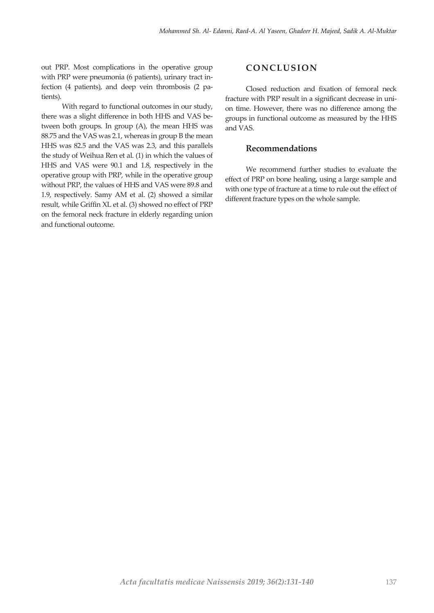out PRP. Most complications in the operative group with PRP were pneumonia (6 patients), urinary tract infection (4 patients), and deep vein thrombosis (2 patients).

With regard to functional outcomes in our study, there was a slight difference in both HHS and VAS between both groups. In group (A), the mean HHS was 88.75 and the VAS was 2.1, whereas in group B the mean HHS was 82.5 and the VAS was 2.3, and this parallels the study of Weihua Ren et al. (1) in which the values of HHS and VAS were 90.1 and 1.8, respectively in the operative group with PRP, while in the operative group without PRP, the values of HHS and VAS were 89.8 and 1.9, respectively. Samy AM et al. (2) showed a similar result, while Griffin XL et al. (3) showed no effect of PRP on the femoral neck fracture in elderly regarding union and functional outcome.

## **CONCLUSION**

Closed reduction and fixation of femoral neck fracture with PRP result in a significant decrease in union time. However, there was no difference among the groups in functional outcome as measured by the HHS and VAS.

#### **Recommendations**

We recommend further studies to evaluate the effect of PRP on bone healing, using a large sample and with one type of fracture at a time to rule out the effect of different fracture types on the whole sample.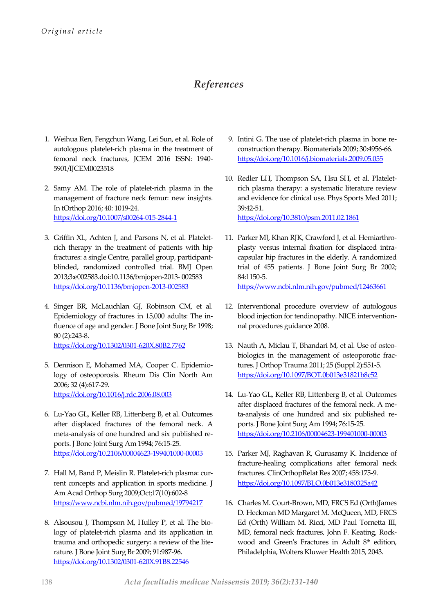# *References*

- 1. Weihua Ren, Fengchun Wang, Lei Sun, et al. Role of autologous platelet-rich plasma in the treatment of femoral neck fractures, JCEM 2016 ISSN: 1940- 5901/IJCEM0023518
- 2. Samy AM. The role of platelet-rich plasma in the management of fracture neck femur: new insights. In tOrthop 2016; 40: 1019-24. <https://doi.org/10.1007/s00264-015-2844-1>
- 3. Griffin XL, Achten J, and Parsons N, et al. Plateletrich therapy in the treatment of patients with hip fractures: a single Centre, parallel group, participantblinded, randomized controlled trial. BMJ Open 2013;3:e002583.doi:10.1136/bmjopen-2013- 002583 <https://doi.org/10.1136/bmjopen-2013-002583>
- 4. Singer BR, McLauchlan GJ, Robinson CM, et al. Epidemiology of fractures in 15,000 adults: The influence of age and gender. J Bone Joint Surg Br 1998; 80 (2):243-8. <https://doi.org/10.1302/0301-620X.80B2.7762>
- 5. Dennison E, Mohamed MA, Cooper C. Epidemiology of osteoporosis. Rheum Dis Clin North Am 2006; 32 (4):617-29. <https://doi.org/10.1016/j.rdc.2006.08.003>
- 6. Lu-Yao GL, Keller RB, Littenberg B, et al. Outcomes after displaced fractures of the femoral neck. A meta-analysis of one hundred and six published reports. J Bone Joint Surg Am 1994; 76:15-25. <https://doi.org/10.2106/00004623-199401000-00003>
- 7. Hall M, Band P, Meislin R. Platelet-rich plasma: current concepts and application in sports medicine. J Am Acad Orthop Surg 2009;Oct;17(10):602-8 <https://www.ncbi.nlm.nih.gov/pubmed/19794217>
- 8. Alsousou J, Thompson M, Hulley P, et al. The biology of platelet-rich plasma and its application in trauma and orthopedic surgery: a review of the literature. J Bone Joint Surg Br 2009; 91:987-96. <https://doi.org/10.1302/0301-620X.91B8.22546>
- 9. Intini G. The use of platelet-rich plasma in bone reconstruction therapy. Biomaterials 2009; 30:4956-66. <https://doi.org/10.1016/j.biomaterials.2009.05.055>
- 10. Redler LH, Thompson SA, Hsu SH, et al. Plateletrich plasma therapy: a systematic literature review and evidence for clinical use. Phys Sports Med 2011; 39:42-51. <https://doi.org/10.3810/psm.2011.02.1861>

11. Parker MJ, Khan RJK, Crawford J, et al. Hemiarthroplasty versus internal fixation for displaced intracapsular hip fractures in the elderly. A randomized trial of 455 patients. J Bone Joint Surg Br 2002; 84:1150-5.

<https://www.ncbi.nlm.nih.gov/pubmed/12463661>

- 12. Interventional procedure overview of autologous blood injection for tendinopathy. NICE interventionnal procedures guidance 2008.
- 13. Nauth A, Miclau T, Bhandari M, et al. Use of osteobiologics in the management of osteoporotic fractures. J Orthop Trauma 2011; 25 (Suppl 2):S51-5. <https://doi.org/10.1097/BOT.0b013e31821b8c52>
- 14. Lu-Yao GL, Keller RB, Littenberg B, et al. Outcomes after displaced fractures of the femoral neck. A meta-analysis of one hundred and six published reports. J Bone Joint Surg Am 1994; 76:15-25. <https://doi.org/10.2106/00004623-199401000-00003>
- 15. Parker MJ, Raghavan R, Gurusamy K. Incidence of fracture-healing complications after femoral neck fractures. ClinOrthopRelat Res 2007; 458:175-9. <https://doi.org/10.1097/BLO.0b013e3180325a42>
- 16. Charles M. Court-Brown, MD, FRCS Ed (Orth)James D. Heckman MD Margaret M. McQueen, MD, FRCS Ed (Orth) William M. Ricci, MD Paul Tornetta III, MD, femoral neck fractures, John F. Keating, Rockwood and Green's Fractures in Adult 8<sup>th</sup> edition, Philadelphia, Wolters Kluwer Health 2015, 2043.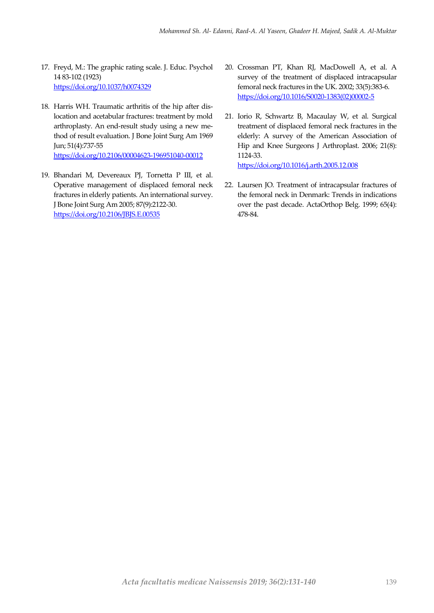- 17. Freyd, M.: The graphic rating scale. J. Educ. Psychol 14 83-102 (1923) <https://doi.org/10.1037/h0074329>
- 18. Harris WH. Traumatic arthritis of the hip after dislocation and acetabular fractures: treatment by mold arthroplasty. An end-result study using a new method of result evaluation. J Bone Joint Surg Am 1969 Jun; 51(4):737-55 <https://doi.org/10.2106/00004623-196951040-00012>
- 19. Bhandari M, Devereaux PJ, Tornetta P III, et al. Operative management of displaced femoral neck fractures in elderly patients. An international survey. J Bone Joint Surg Am 2005; 87(9):2122-30. <https://doi.org/10.2106/JBJS.E.00535>
- 20. Crossman PT, Khan RJ, MacDowell A, et al. A survey of the treatment of displaced intracapsular femoral neck fractures in the UK. 2002; 33(5):383-6. [https://doi.org/10.1016/S0020-1383\(02\)00002-5](https://doi.org/10.1016/S0020-1383(02)00002-5)
- 21. Iorio R, Schwartz B, Macaulay W, et al. Surgical treatment of displaced femoral neck fractures in the elderly: A survey of the American Association of Hip and Knee Surgeons J Arthroplast. 2006; 21(8): 1124-33. <https://doi.org/10.1016/j.arth.2005.12.008>
- 22. Laursen JO. Treatment of intracapsular fractures of the femoral neck in Denmark: Trends in indications over the past decade. ActaOrthop Belg. 1999; 65(4): 478-84.